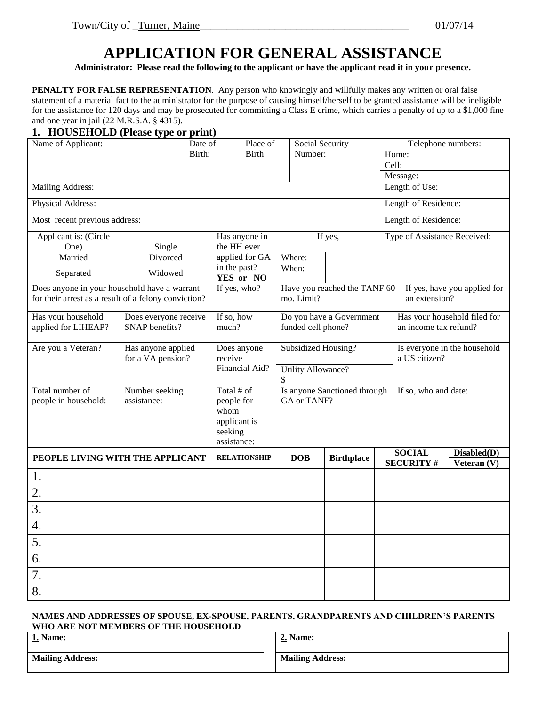# **APPLICATION FOR GENERAL ASSISTANCE**

**Administrator: Please read the following to the applicant or have the applicant read it in your presence.**

**PENALTY FOR FALSE REPRESENTATION**. Any person who knowingly and willfully makes any written or oral false statement of a material fact to the administrator for the purpose of causing himself/herself to be granted assistance will be ineligible for the assistance for 120 days and may be prosecuted for committing a Class E crime, which carries a penalty of up to a \$1,000 fine and one year in jail (22 M.R.S.A. § 4315).

#### **1. HOUSEHOLD (Please type or print)**

| Name of Applicant:                                   |                       | Date of |                           | Place of            | Social Security           |                              |       | Telephone numbers:    |  |                              |
|------------------------------------------------------|-----------------------|---------|---------------------------|---------------------|---------------------------|------------------------------|-------|-----------------------|--|------------------------------|
|                                                      |                       | Birth:  |                           | <b>Birth</b>        | Number:                   |                              | Home: |                       |  |                              |
|                                                      |                       |         |                           |                     |                           |                              | Cell: |                       |  |                              |
|                                                      |                       |         |                           |                     |                           |                              |       | Message:              |  |                              |
| Mailing Address:                                     |                       |         |                           |                     |                           |                              |       | Length of Use:        |  |                              |
| Physical Address:                                    |                       |         |                           |                     |                           |                              |       | Length of Residence:  |  |                              |
| Most recent previous address:                        |                       |         |                           |                     |                           |                              |       | Length of Residence:  |  |                              |
| Applicant is: (Circle                                |                       |         | Has anyone in             |                     |                           | If yes,                      |       |                       |  | Type of Assistance Received: |
| One)                                                 | Single                |         | the HH ever               |                     |                           |                              |       |                       |  |                              |
| Married                                              | Divorced              |         |                           | applied for GA      | Where:                    |                              |       |                       |  |                              |
| Separated                                            | Widowed               |         | in the past?<br>YES or NO |                     | When:                     |                              |       |                       |  |                              |
| Does anyone in your household have a warrant         |                       |         | If yes, who?              |                     |                           | Have you reached the TANF 60 |       |                       |  | If yes, have you applied for |
| for their arrest as a result of a felony conviction? |                       |         |                           |                     | mo. Limit?                |                              |       | an extension?         |  |                              |
| Has your household                                   | Does everyone receive |         | If so, how                |                     |                           | Do you have a Government     |       |                       |  | Has your household filed for |
| applied for LIHEAP?                                  | SNAP benefits?        |         | much?                     |                     | funded cell phone?        |                              |       | an income tax refund? |  |                              |
| Are you a Veteran?                                   | Has anyone applied    |         | Does anyone               |                     | Subsidized Housing?       |                              |       |                       |  | Is everyone in the household |
|                                                      | for a VA pension?     |         | receive                   |                     |                           |                              |       | a US citizen?         |  |                              |
|                                                      |                       |         |                           | Financial Aid?      | <b>Utility Allowance?</b> |                              |       |                       |  |                              |
|                                                      |                       |         |                           |                     |                           |                              |       |                       |  |                              |
| Total number of                                      | Number seeking        |         | Total # of                |                     |                           | Is anyone Sanctioned through |       | If so, who and date:  |  |                              |
| people in household:                                 | assistance:           |         | people for                |                     | GA or TANF?               |                              |       |                       |  |                              |
|                                                      |                       |         | whom                      |                     |                           |                              |       |                       |  |                              |
|                                                      |                       |         | applicant is<br>seeking   |                     |                           |                              |       |                       |  |                              |
|                                                      |                       |         | assistance:               |                     |                           |                              |       |                       |  |                              |
| PEOPLE LIVING WITH THE APPLICANT                     |                       |         |                           | <b>RELATIONSHIP</b> | <b>DOB</b>                | <b>Birthplace</b>            |       | <b>SOCIAL</b>         |  | Disabled(D)                  |
|                                                      |                       |         |                           |                     |                           |                              |       | <b>SECURITY#</b>      |  | Veteran (V)                  |
| 1.                                                   |                       |         |                           |                     |                           |                              |       |                       |  |                              |
| 2.                                                   |                       |         |                           |                     |                           |                              |       |                       |  |                              |
| 3.                                                   |                       |         |                           |                     |                           |                              |       |                       |  |                              |
| 4.                                                   |                       |         |                           |                     |                           |                              |       |                       |  |                              |
| 5.                                                   |                       |         |                           |                     |                           |                              |       |                       |  |                              |
| 6.                                                   |                       |         |                           |                     |                           |                              |       |                       |  |                              |
| 7.                                                   |                       |         |                           |                     |                           |                              |       |                       |  |                              |
| 8.                                                   |                       |         |                           |                     |                           |                              |       |                       |  |                              |

#### **NAMES AND ADDRESSES OF SPOUSE, EX-SPOUSE, PARENTS, GRANDPARENTS AND CHILDREN'S PARENTS WHO ARE NOT MEMBERS OF THE HOUSEHOLD**

| 1. Name:<br>$\sim$      | 2. Name:                |
|-------------------------|-------------------------|
| <b>Mailing Address:</b> | <b>Mailing Address:</b> |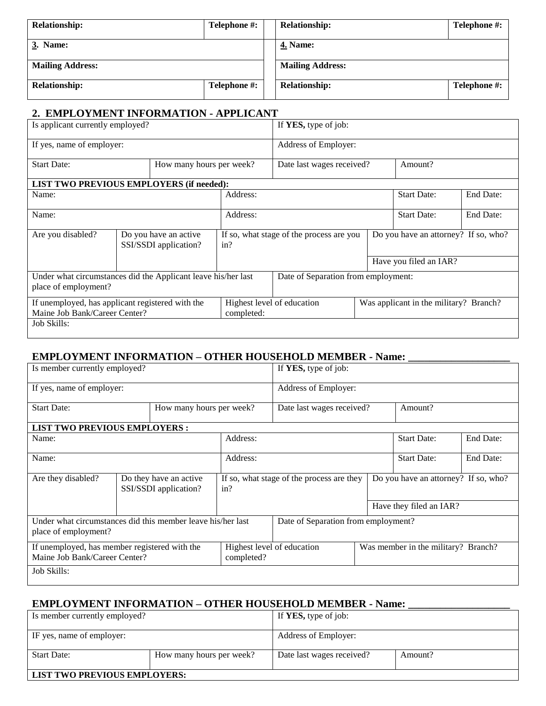| <b>Relationship:</b>    | Telephone #: | <b>Relationship:</b>    | Telephone #: |
|-------------------------|--------------|-------------------------|--------------|
| 3. Name:                |              | <b>4. Name:</b>         |              |
| <b>Mailing Address:</b> |              | <b>Mailing Address:</b> |              |
| <b>Relationship:</b>    | Telephone #: | <b>Relationship:</b>    | Telephone #: |

### **2. EMPLOYMENT INFORMATION - APPLICANT**

| Is applicant currently employed?                                                      |          |                                                | If YES, type of job:                            |                                     |  |                                        |           |  |
|---------------------------------------------------------------------------------------|----------|------------------------------------------------|-------------------------------------------------|-------------------------------------|--|----------------------------------------|-----------|--|
| If yes, name of employer:                                                             |          |                                                |                                                 | Address of Employer:                |  |                                        |           |  |
| <b>Start Date:</b>                                                                    |          | How many hours per week?                       |                                                 | Date last wages received?           |  | Amount?                                |           |  |
| <b>LIST TWO PREVIOUS EMPLOYERS (if needed):</b>                                       |          |                                                |                                                 |                                     |  |                                        |           |  |
| Address:<br>Name:                                                                     |          |                                                |                                                 |                                     |  | <b>Start Date:</b>                     | End Date: |  |
| Name:                                                                                 | Address: |                                                |                                                 |                                     |  | <b>Start Date:</b>                     | End Date: |  |
| Are you disabled?                                                                     |          | Do you have an active<br>SSI/SSDI application? | If so, what stage of the process are you<br>in? |                                     |  | Do you have an attorney? If so, who?   |           |  |
|                                                                                       |          |                                                |                                                 |                                     |  | Have you filed an IAR?                 |           |  |
| Under what circumstances did the Applicant leave his/her last<br>place of employment? |          |                                                |                                                 | Date of Separation from employment: |  |                                        |           |  |
| If unemployed, has applicant registered with the<br>Maine Job Bank/Career Center?     |          |                                                | completed:                                      | Highest level of education          |  | Was applicant in the military? Branch? |           |  |
| Job Skills:                                                                           |          |                                                |                                                 |                                     |  |                                        |           |  |

### **EMPLOYMENT INFORMATION – OTHER HOUSEHOLD MEMBER - Name: \_\_\_\_\_\_\_\_\_\_\_\_\_\_\_\_\_\_\_**

| Is member currently employed?                                                       |  |                                                 |            | If YES, type of job:                      |  |                                      |           |
|-------------------------------------------------------------------------------------|--|-------------------------------------------------|------------|-------------------------------------------|--|--------------------------------------|-----------|
| If yes, name of employer:                                                           |  |                                                 |            | Address of Employer:                      |  |                                      |           |
| <b>Start Date:</b>                                                                  |  | How many hours per week?                        |            | Date last wages received?                 |  |                                      |           |
| <b>LIST TWO PREVIOUS EMPLOYERS:</b>                                                 |  |                                                 |            |                                           |  |                                      |           |
| Name:                                                                               |  |                                                 | Address:   |                                           |  | <b>Start Date:</b>                   | End Date: |
| Name:                                                                               |  |                                                 | Address:   |                                           |  | <b>Start Date:</b>                   | End Date: |
| Are they disabled?                                                                  |  | Do they have an active<br>SSI/SSDI application? | in?        | If so, what stage of the process are they |  | Do you have an attorney? If so, who? |           |
|                                                                                     |  |                                                 |            |                                           |  | Have they filed an IAR?              |           |
| Under what circumstances did this member leave his/her last<br>place of employment? |  |                                                 |            | Date of Separation from employment?       |  |                                      |           |
| If unemployed, has member registered with the<br>Maine Job Bank/Career Center?      |  |                                                 | completed? | Highest level of education                |  | Was member in the military? Branch?  |           |
| Job Skills:                                                                         |  |                                                 |            |                                           |  |                                      |           |

## **EMPLOYMENT INFORMATION – OTHER HOUSEHOLD MEMBER - Name: \_\_\_\_\_\_\_\_\_\_\_\_\_\_\_\_\_\_\_**

| LIST TWO PREVIOUS EMPLOYERS:  |                          |                              |         |
|-------------------------------|--------------------------|------------------------------|---------|
| <b>Start Date:</b>            | How many hours per week? | Date last wages received?    | Amount? |
| IF yes, name of employer:     |                          | Address of Employer:         |         |
| Is member currently employed? |                          | If <b>YES</b> , type of job: |         |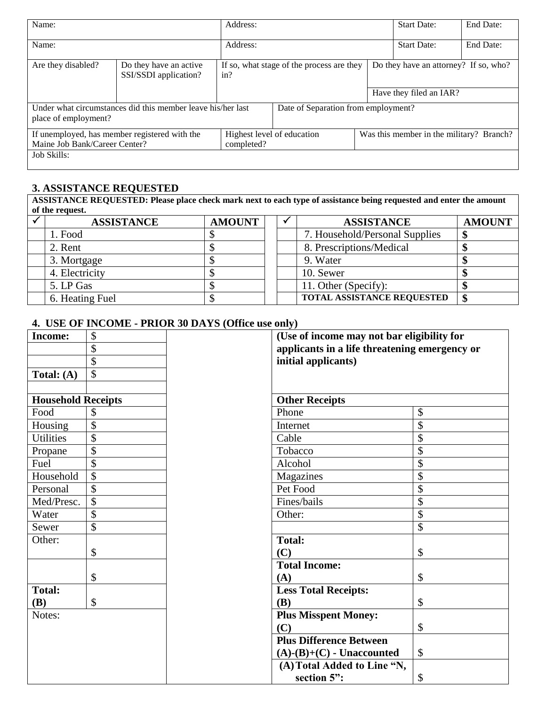| Name:                                                                          |                                                             | Address:                                         |                                     |  | <b>Start Date:</b>                       | End Date: |  |
|--------------------------------------------------------------------------------|-------------------------------------------------------------|--------------------------------------------------|-------------------------------------|--|------------------------------------------|-----------|--|
| Name:                                                                          |                                                             | Address:                                         |                                     |  | <b>Start Date:</b>                       | End Date: |  |
| Are they disabled?                                                             | Do they have an active<br>SSI/SSDI application?             | If so, what stage of the process are they<br>in? |                                     |  | Do they have an attorney? If so, who?    |           |  |
|                                                                                |                                                             |                                                  |                                     |  | Have they filed an IAR?                  |           |  |
| place of employment?                                                           | Under what circumstances did this member leave his/her last |                                                  | Date of Separation from employment? |  |                                          |           |  |
| If unemployed, has member registered with the<br>Maine Job Bank/Career Center? |                                                             | completed?                                       | Highest level of education          |  | Was this member in the military? Branch? |           |  |
| Job Skills:                                                                    |                                                             |                                                  |                                     |  |                                          |           |  |

### **3. ASSISTANCE REQUESTED**

**ASSISTANCE REQUESTED: Please place check mark next to each type of assistance being requested and enter the amount of the request.**

| <b>ASSISTANCE</b> | <b>AMOUNT</b> | <b>ASSISTANCE</b>                 | <b>AMOUNT</b> |
|-------------------|---------------|-----------------------------------|---------------|
| 1. Food           |               | 7. Household/Personal Supplies    | Æ             |
| 2. Rent           |               | 8. Prescriptions/Medical          |               |
| 3. Mortgage       |               | 9. Water                          |               |
| 4. Electricity    |               | 10. Sewer                         |               |
| 5. LP Gas         |               | 11. Other (Specify):              |               |
| 6. Heating Fuel   |               | <b>TOTAL ASSISTANCE REQUESTED</b> | S             |

### **4. USE OF INCOME - PRIOR 30 DAYS (Office use only)**

| <b>Income:</b>            | \$                        | (Use of income may not bar eligibility for    |    |  |  |
|---------------------------|---------------------------|-----------------------------------------------|----|--|--|
|                           | \$                        | applicants in a life threatening emergency or |    |  |  |
|                           | $\overline{\$}$           | initial applicants)                           |    |  |  |
| Total: (A)                | \$                        |                                               |    |  |  |
|                           |                           |                                               |    |  |  |
| <b>Household Receipts</b> |                           | <b>Other Receipts</b>                         |    |  |  |
| Food                      | \$                        | Phone                                         | \$ |  |  |
| Housing                   | $\boldsymbol{\mathsf{S}}$ | Internet                                      | \$ |  |  |
| <b>Utilities</b>          | $\overline{\$}$           | Cable                                         | \$ |  |  |
| Propane                   | \$                        | Tobacco                                       | \$ |  |  |
| Fuel                      | \$                        | Alcohol                                       | \$ |  |  |
| Household                 | $\overline{\$}$           | Magazines                                     | \$ |  |  |
| Personal                  | \$                        | Pet Food                                      | \$ |  |  |
| Med/Presc.                | $\overline{\mathcal{S}}$  | Fines/bails                                   | \$ |  |  |
| Water                     | \$                        | Other:                                        | \$ |  |  |
| Sewer                     | \$                        |                                               | \$ |  |  |
| Other:                    |                           | <b>Total:</b>                                 |    |  |  |
|                           | \$                        | (C)                                           | \$ |  |  |
|                           |                           | <b>Total Income:</b>                          |    |  |  |
|                           | \$                        | (A)                                           | \$ |  |  |
| <b>Total:</b>             |                           | <b>Less Total Receipts:</b>                   |    |  |  |
| <b>(B)</b>                | \$                        | <b>(B)</b>                                    | \$ |  |  |
| Notes:                    |                           | <b>Plus Misspent Money:</b>                   |    |  |  |
|                           |                           | (C)                                           | \$ |  |  |
|                           |                           | <b>Plus Difference Between</b>                |    |  |  |
|                           |                           | $(A)$ - $(B)$ + $(C)$ - Unaccounted           | \$ |  |  |
|                           |                           | (A) Total Added to Line "N,                   |    |  |  |
|                           |                           | section 5":                                   | \$ |  |  |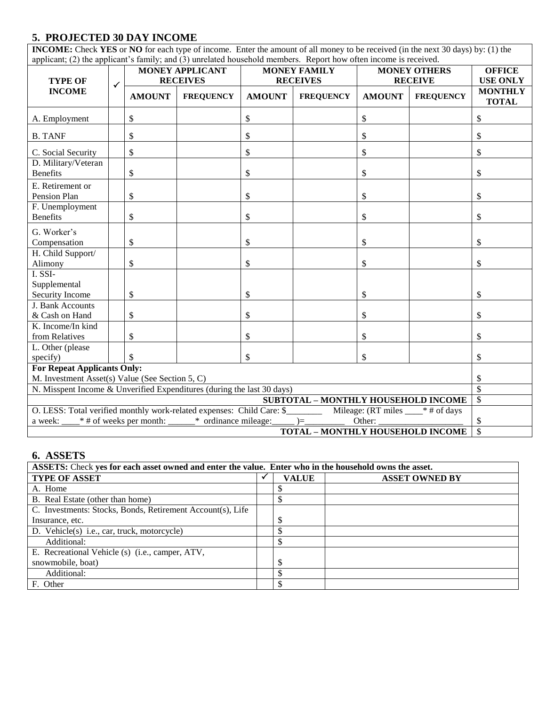### **5. PROJECTED 30 DAY INCOME**

**INCOME:** Check **YES** or **NO** for each type of income. Enter the amount of all money to be received (in the next 30 days) by: (1) the applicant; (2) the applicant's family; and (3) unrelated household members. Report how often income is received.

| $_{\rm s}$ , $_{\rm s}$ , $_{\rm s}$ , $_{\rm s}$ , $_{\rm s}$ , $_{\rm s}$ , $_{\rm s}$ , $_{\rm s}$ , $_{\rm s}$ , $_{\rm s}$ , $_{\rm s}$ , $_{\rm s}$ , $_{\rm s}$ , $_{\rm s}$ , $_{\rm s}$ , $_{\rm s}$ , $_{\rm s}$ , $_{\rm s}$ , $_{\rm s}$ , $_{\rm s}$ , $_{\rm s}$ , $_{\rm s}$ ,<br><b>TYPE OF</b> | <b>MONEY APPLICANT</b><br><b>MONEY FAMILY</b><br><b>MONEY OTHERS</b><br><b>RECEIVES</b><br><b>RECEIVES</b><br><b>RECEIVE</b> |               | <b>OFFICE</b><br><b>USE ONLY</b> |               |                                            |               |                  |                                |
|-----------------------------------------------------------------------------------------------------------------------------------------------------------------------------------------------------------------------------------------------------------------------------------------------------------------|------------------------------------------------------------------------------------------------------------------------------|---------------|----------------------------------|---------------|--------------------------------------------|---------------|------------------|--------------------------------|
| <b>INCOME</b>                                                                                                                                                                                                                                                                                                   | $\checkmark$                                                                                                                 | <b>AMOUNT</b> | <b>FREQUENCY</b>                 | <b>AMOUNT</b> | <b>FREQUENCY</b>                           | <b>AMOUNT</b> | <b>FREQUENCY</b> | <b>MONTHLY</b><br><b>TOTAL</b> |
| A. Employment                                                                                                                                                                                                                                                                                                   |                                                                                                                              | \$            |                                  | \$            |                                            | \$            |                  | \$                             |
| <b>B. TANF</b>                                                                                                                                                                                                                                                                                                  |                                                                                                                              | \$            |                                  | \$            |                                            | \$            |                  | \$                             |
| C. Social Security                                                                                                                                                                                                                                                                                              |                                                                                                                              | \$            |                                  | \$            |                                            | \$            |                  | \$                             |
| D. Military/Veteran<br><b>Benefits</b>                                                                                                                                                                                                                                                                          |                                                                                                                              | \$            |                                  | \$            |                                            | \$            |                  | \$                             |
| E. Retirement or<br>Pension Plan                                                                                                                                                                                                                                                                                |                                                                                                                              | \$            |                                  | \$            |                                            | \$            |                  | \$                             |
| F. Unemployment<br><b>Benefits</b>                                                                                                                                                                                                                                                                              |                                                                                                                              | \$            |                                  | \$            |                                            | \$            |                  | \$                             |
| G. Worker's<br>Compensation                                                                                                                                                                                                                                                                                     |                                                                                                                              | \$            |                                  | \$            |                                            | \$            |                  | \$                             |
| H. Child Support/<br>Alimony                                                                                                                                                                                                                                                                                    |                                                                                                                              | \$            |                                  | \$            |                                            | \$            |                  | \$                             |
| I. SSI-<br>Supplemental<br>Security Income                                                                                                                                                                                                                                                                      |                                                                                                                              | \$            |                                  | \$            |                                            | \$            |                  | \$                             |
| J. Bank Accounts<br>& Cash on Hand                                                                                                                                                                                                                                                                              |                                                                                                                              | \$            |                                  | \$            |                                            | \$            |                  | \$                             |
| K. Income/In kind<br>from Relatives                                                                                                                                                                                                                                                                             |                                                                                                                              | \$            |                                  | \$            |                                            | \$            |                  | \$                             |
| L. Other (please<br>specify)                                                                                                                                                                                                                                                                                    |                                                                                                                              |               |                                  | \$            |                                            | \$            |                  | \$                             |
| <b>For Repeat Applicants Only:</b><br>M. Investment Asset(s) Value (See Section 5, C)                                                                                                                                                                                                                           |                                                                                                                              |               |                                  |               |                                            |               |                  | \$                             |
| N. Misspent Income & Unverified Expenditures (during the last 30 days)<br>\$                                                                                                                                                                                                                                    |                                                                                                                              |               |                                  |               |                                            |               |                  |                                |
|                                                                                                                                                                                                                                                                                                                 |                                                                                                                              |               |                                  |               | <b>SUBTOTAL - MONTHLY HOUSEHOLD INCOME</b> |               |                  | $\mathbb{S}$                   |
| O. LESS: Total verified monthly work-related expenses: Child Care: \$___________ Mileage: (RT miles ____* # of days                                                                                                                                                                                             |                                                                                                                              |               |                                  |               |                                            |               |                  |                                |
| a week: $\_\_\ast$ # of weeks per month: $\_\_\ast$ ordinance mileage: $\_\_\_\right) = \_\_\_\_\$                                                                                                                                                                                                              |                                                                                                                              |               |                                  |               |                                            | Other:        |                  | \$                             |
| <b>TOTAL - MONTHLY HOUSEHOLD INCOME</b>                                                                                                                                                                                                                                                                         |                                                                                                                              |               |                                  |               |                                            |               |                  | $\overline{\mathcal{S}}$       |

#### **6. ASSETS**

| ASSETS: Check yes for each asset owned and enter the value. Enter who in the household owns the asset. |  |              |                       |  |  |  |  |
|--------------------------------------------------------------------------------------------------------|--|--------------|-----------------------|--|--|--|--|
| <b>TYPE OF ASSET</b>                                                                                   |  | <b>VALUE</b> | <b>ASSET OWNED BY</b> |  |  |  |  |
| A. Home                                                                                                |  | J            |                       |  |  |  |  |
| B. Real Estate (other than home)                                                                       |  |              |                       |  |  |  |  |
| C. Investments: Stocks, Bonds, Retirement Account(s), Life                                             |  |              |                       |  |  |  |  |
| Insurance, etc.                                                                                        |  | \$           |                       |  |  |  |  |
| D. Vehicle(s) i.e., car, truck, motorcycle)                                                            |  | \$           |                       |  |  |  |  |
| Additional:                                                                                            |  | \$           |                       |  |  |  |  |
| E. Recreational Vehicle (s) (i.e., camper, ATV,                                                        |  |              |                       |  |  |  |  |
| snowmobile, boat)                                                                                      |  | \$           |                       |  |  |  |  |
| Additional:                                                                                            |  |              |                       |  |  |  |  |
| F. Other                                                                                               |  |              |                       |  |  |  |  |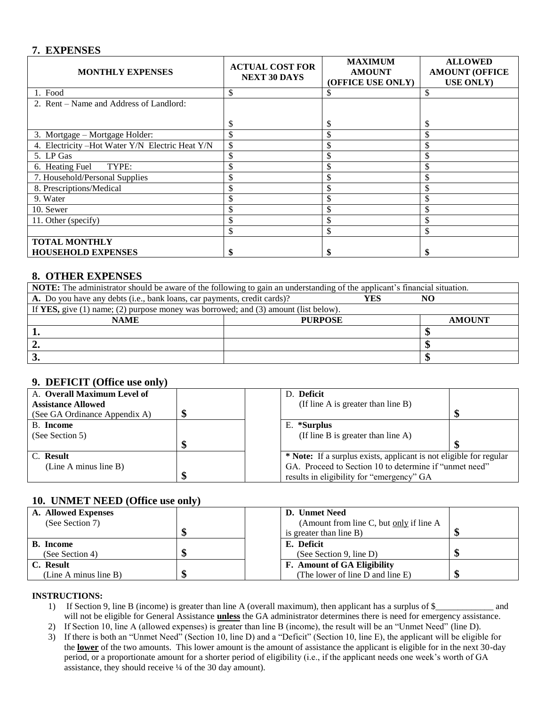### **7. EXPENSES**

| <b>MONTHLY EXPENSES</b>                          | <b>ACTUAL COST FOR</b><br><b>NEXT 30 DAYS</b> | <b>MAXIMUM</b><br><b>AMOUNT</b><br>(OFFICE USE ONLY) | <b>ALLOWED</b><br><b>AMOUNT (OFFICE</b><br><b>USE ONLY</b> ) |
|--------------------------------------------------|-----------------------------------------------|------------------------------------------------------|--------------------------------------------------------------|
| 1. Food                                          | \$                                            | S                                                    | \$                                                           |
| 2. Rent – Name and Address of Landlord:          |                                               |                                                      |                                                              |
|                                                  | \$.                                           | \$                                                   | \$                                                           |
| 3. Mortgage – Mortgage Holder:                   |                                               | \$                                                   | \$                                                           |
| 4. Electricity - Hot Water Y/N Electric Heat Y/N |                                               |                                                      |                                                              |
| 5. LP Gas                                        |                                               | \$                                                   |                                                              |
| TYPE:<br>6. Heating Fuel                         |                                               | \$                                                   |                                                              |
| 7. Household/Personal Supplies                   |                                               | \$                                                   |                                                              |
| 8. Prescriptions/Medical                         |                                               | ъ.                                                   |                                                              |
| 9. Water                                         |                                               |                                                      |                                                              |
| 10. Sewer                                        |                                               |                                                      |                                                              |
| 11. Other (specify)                              |                                               |                                                      |                                                              |
|                                                  |                                               | \$                                                   |                                                              |
| <b>TOTAL MONTHLY</b>                             |                                               |                                                      |                                                              |
| <b>HOUSEHOLD EXPENSES</b>                        |                                               |                                                      |                                                              |

### **8. OTHER EXPENSES**

| <b>NOTE:</b> The administrator should be aware of the following to gain an understanding of the applicant's financial situation. |                |               |  |  |
|----------------------------------------------------------------------------------------------------------------------------------|----------------|---------------|--|--|
| A. Do you have any debts (i.e., bank loans, car payments, credit cards)?<br>YES                                                  |                |               |  |  |
| If YES, give (1) name; (2) purpose money was borrowed; and (3) amount (list below).                                              |                |               |  |  |
| <b>NAME</b>                                                                                                                      | <b>PURPOSE</b> | <b>AMOUNT</b> |  |  |
|                                                                                                                                  |                |               |  |  |
|                                                                                                                                  |                |               |  |  |
| J.                                                                                                                               |                |               |  |  |

### **9. DEFICIT (Office use only)**

| A. Overall Maximum Level of   |  | D. Deficit                                                         |  |
|-------------------------------|--|--------------------------------------------------------------------|--|
| <b>Assistance Allowed</b>     |  | (If line A is greater than line B)                                 |  |
| (See GA Ordinance Appendix A) |  |                                                                    |  |
| B. Income                     |  | E. *Surplus                                                        |  |
| (See Section 5)               |  | (If line B is greater than line $A$ )                              |  |
|                               |  |                                                                    |  |
| C. Result                     |  | * Note: If a surplus exists, applicant is not eligible for regular |  |
| (Line A minus line B)         |  | GA. Proceed to Section 10 to determine if "unmet need"             |  |
|                               |  | results in eligibility for "emergency" GA                          |  |

### **10. UNMET NEED (Office use only)**

| A. Allowed Expenses   |  | D. Unmet Need                           |  |
|-----------------------|--|-----------------------------------------|--|
| (See Section 7)       |  | (Amount from line C, but only if line A |  |
|                       |  | is greater than line B)                 |  |
| <b>B.</b> Income      |  | E. Deficit                              |  |
| (See Section 4)       |  | (See Section 9, line D)                 |  |
| C. Result             |  | F. Amount of GA Eligibility             |  |
| (Line A minus line B) |  | (The lower of line D and line E)        |  |

#### **INSTRUCTIONS:**

- 1) If Section 9, line B (income) is greater than line A (overall maximum), then applicant has a surplus of \$\_\_\_\_\_\_\_\_\_\_\_\_\_ and will not be eligible for General Assistance **unless** the GA administrator determines there is need for emergency assistance.
- 2) If Section 10, line A (allowed expenses) is greater than line B (income), the result will be an "Unmet Need" (line D).
- 3) If there is both an "Unmet Need" (Section 10, line D) and a "Deficit" (Section 10, line E), the applicant will be eligible for the **lower** of the two amounts. This lower amount is the amount of assistance the applicant is eligible for in the next 30-day period, or a proportionate amount for a shorter period of eligibility (i.e., if the applicant needs one week's worth of GA assistance, they should receive ¼ of the 30 day amount).